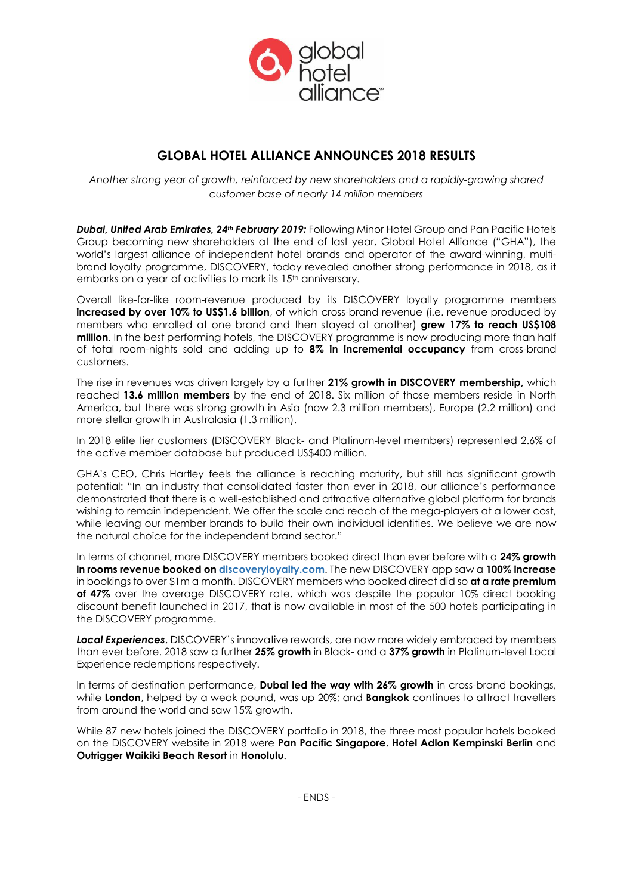

# **GLOBAL HOTEL ALLIANCE ANNOUNCES 2018 RESULTS**

*Another strong year of growth, reinforced by new shareholders and a rapidly-growing shared customer base of nearly 14 million members*

*Dubai, United Arab Emirates, 24th February 2019:* Following Minor Hotel Group and Pan Pacific Hotels Group becoming new shareholders at the end of last year, Global Hotel Alliance ("GHA"), the world's largest alliance of independent hotel brands and operator of the award-winning, multibrand loyalty programme, DISCOVERY, today revealed another strong performance in 2018, as it embarks on a year of activities to mark its 15<sup>th</sup> anniversary.

Overall like-for-like room-revenue produced by its DISCOVERY loyalty programme members **increased by over 10% to US\$1.6 billion**, of which cross-brand revenue (i.e. revenue produced by members who enrolled at one brand and then stayed at another) **grew 17% to reach US\$108 million**. In the best performing hotels, the DISCOVERY programme is now producing more than half of total room-nights sold and adding up to **8% in incremental occupancy** from cross-brand customers.

The rise in revenues was driven largely by a further **21% growth in DISCOVERY membership,** which reached **13.6 million members** by the end of 2018. Six million of those members reside in North America, but there was strong growth in Asia (now 2.3 million members), Europe (2.2 million) and more stellar growth in Australasia (1.3 million).

In 2018 elite tier customers (DISCOVERY Black- and Platinum-level members) represented 2.6% of the active member database but produced US\$400 million.

GHA's CEO, Chris Hartley feels the alliance is reaching maturity, but still has significant growth potential: "In an industry that consolidated faster than ever in 2018, our alliance's performance demonstrated that there is a well-established and attractive alternative global platform for brands wishing to remain independent. We offer the scale and reach of the mega-players at a lower cost, while leaving our member brands to build their own individual identities. We believe we are now the natural choice for the independent brand sector."

In terms of channel, more DISCOVERY members booked direct than ever before with a **24% growth in rooms revenue booked on [discoveryloyalty.com](http://www.discoveryloyalty.com/)**. The new DISCOVERY app saw a **100% increase** in bookings to over \$1m a month. DISCOVERY members who booked direct did so **at a rate premium of 47%** over the average DISCOVERY rate, which was despite the popular 10% direct booking discount benefit launched in 2017, that is now available in most of the 500 hotels participating in the DISCOVERY programme.

*Local Experiences*, DISCOVERY's innovative rewards, are now more widely embraced by members than ever before. 2018 saw a further **25% growth** in Black- and a **37% growth** in Platinum-level Local Experience redemptions respectively.

In terms of destination performance, **Dubai led the way with 26% growth** in cross-brand bookings, while **London**, helped by a weak pound, was up 20%; and **Bangkok** continues to attract travellers from around the world and saw 15% growth.

While 87 new hotels joined the DISCOVERY portfolio in 2018, the three most popular hotels booked on the DISCOVERY website in 2018 were **Pan Pacific Singapore**, **Hotel Adlon Kempinski Berlin** and **Outrigger Waikiki Beach Resort** in **Honolulu**.